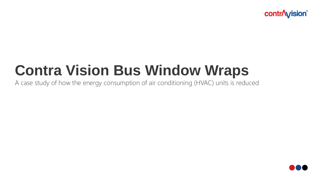**contr**/**vision**®

# **Contra Vision Bus Window Wraps**

A case study of how the energy consumption of air conditioning (HVAC) units is reduced

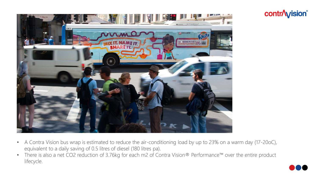



- A Contra Vision bus wrap is estimated to reduce the air-conditioning load by up to 23% on a warm day (17-20oC), equivalent to a daily saving of 0.5 litres of diesel (180 litres pa).
- There is also a net CO2 reduction of 3.76kg for each m2 of Contra Vision® Performance™ over the entire product lifecycle.

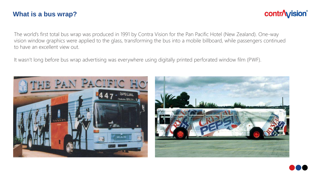#### **What is a bus wrap?**

## **contr/vision®**

The world's first total bus wrap was produced in 1991 by Contra Vision for the Pan Pacific Hotel (New Zealand). One-way vision window graphics were applied to the glass, transforming the bus into a mobile billboard, while passengers continued to have an excellent view out.

It wasn't long before bus wrap advertising was everywhere using digitally printed perforated window film (PWF).





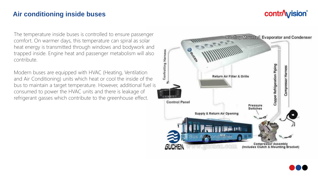## **contr/wision®**

#### **Air conditioning inside buses**

The temperature inside buses is controlled to ensure passenger comfort. On warmer days, this temperature can spiral as solar heat energy is transmitted through windows and bodywork and trapped inside. Engine heat and passenger metabolism will also contribute.

Modern buses are equipped with HVAC (Heating, Ventilation and Air Conditioning) units which heat or cool the inside of the bus to maintain a target temperature. However, additional fuel is consumed to power the HVAC units and there is leakage of refrigerant gasses which contribute to the greenhouse effect.



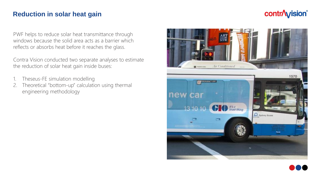#### **Reduction in solar heat gain**

## **contr/vision®**

PWF helps to reduce solar heat transmittance through windows because the solid area acts as a barrier which reflects or absorbs heat before it reaches the glass.

Contra Vision conducted two separate analyses to estimate the reduction of solar heat gain inside buses:

- 1. Theseus-FE simulation modelling
- 2. Theoretical "bottom-up" calculation using thermal engineering methodology



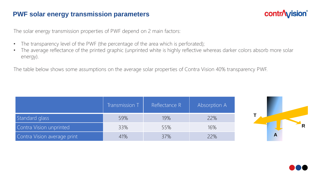#### **PWF solar energy transmission parameters**

## **contr/wision**®

The solar energy transmission properties of PWF depend on 2 main factors:

- The transparency level of the PWF (the percentage of the area which is perforated);
- The average reflectance of the printed graphic (unprinted white is highly reflective whereas darker colors absorb more solar energy).

The table below shows some assumptions on the average solar properties of Contra Vision 40% transparency PWF.

|                             | Transmission T | Reflectance R | Absorption A |
|-----------------------------|----------------|---------------|--------------|
| Standard glass              | 59%            | 19%           | 22%          |
| Contra Vision unprinted     | 33%            | 55%           | 16%          |
| Contra Vision average print | 41%            | 37%           | 22%          |



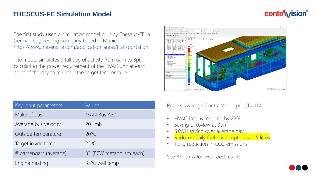#### **THESEUS-FE Simulation Model**

## **contr**/**vision**®

The first study used a simulation model built by Theseus-FE, a German engineering company based in Munich https://www.theseus-fe.com/application-areas/transportation

The model simulates a full day of activity from 6am to 8pm, calculating the power requirement of the HVAC unit at each point of the day to maintain the target temperature.



| Key input parameters   | Values                   |
|------------------------|--------------------------|
| Make of bus            | MAN Bus A37              |
| Average bus velocity   | 20 kmh                   |
| Outside temperature    | $20^{\circ}$ C           |
| Target inside temp     | 250C                     |
| # passengers (average) | 33 (87W metabolism each) |
| Engine heating         | 35°C wall temp           |

Results: Average Contra Vision print,T=41%

- HVAC load is reduced by 23%
- Saving of 0.4KW at 3pm
- 5KWH saving over average day
- Reduced daily fuel consumption  $= 0.5$  litres
- 1.5kg reduction in CO2 emissions

See Annex A for extended results

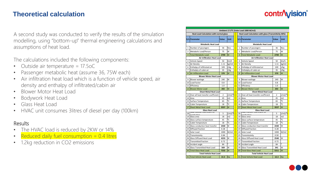#### **Theoretical calculation**

## **contr/wision**®

A second study was conducted to verify the results of the simulation modelling, using "bottom-up" thermal engineering calculations and assumptions of heat load.

The calculations included the following components:

- Outside air temperature = 17.5oC
- Passenger metabolic heat (assume 36, 75W each)
- Air infiltration heat load which is a function of vehicle speed, air density and enthalpy of infiltrated/cabin air
- Blower Motor Heat Load
- Bodywork Heat Load
- Glass Heat Load
- HVAC unit consumes 3litres of diesel per day (100km)

#### Results

- The HVAC load is reduced by 2KW or 14%
- Reduced daily fuel consumption  $= 0.4$  litres
- 1.2kg reduction in CO2 emissions

|                                                                  | Ambient 17.5°C (Solar Load 1000 W/m2) |                |              |                                                                  |                                |                                       |                |                |
|------------------------------------------------------------------|---------------------------------------|----------------|--------------|------------------------------------------------------------------|--------------------------------|---------------------------------------|----------------|----------------|
| <b>Heat Load Calculation with normal glass</b>                   |                                       |                |              | Heat Load Calculation with glass (Transmitivity 40%)             |                                |                                       |                |                |
|                                                                  | S/n Parameter                         | Value          | <b>Unit</b>  |                                                                  |                                | S/n Parameter                         | Value          | <b>Unit</b>    |
| <b>Metabolic Heat Load</b>                                       |                                       |                |              |                                                                  | <b>Metabolic Heat Load</b>     |                                       |                |                |
| 1                                                                | Number of passingers                  | 36             | <b>Nos</b>   |                                                                  | $\mathbf{1}$                   | Number of passingers                  | 36             | <b>Nos</b>     |
| $\overline{2}$                                                   | Metabolic Load/Person                 | 75             | W            |                                                                  | 2                              | Metabolic Load/Person                 | 75             | W              |
| 3                                                                | <b>Total Metabolic Load</b>           | 2700           | W            |                                                                  | 3                              | Total Metabolic Load                  | 2700           | W              |
| <b>Air Infiltration Heat Load</b>                                |                                       |                |              | <b>Air Infiltration Heat Load</b>                                |                                |                                       |                |                |
| $\overline{4}$                                                   | Vehicle Speed                         | 50             | Km/h         |                                                                  | 4                              | Vehicle Speed                         | 50             | Km/h           |
| 5                                                                | Air Density                           | 1.11           | kg/m3        |                                                                  | 5                              | Air Density                           | 1.11           | kg/m3          |
| 6                                                                | Enthalpy of infiltrated air           | 109            | J/kg         |                                                                  | 6                              | Enthalpy of infiltrated air           | 109            | J/kg           |
| 7                                                                | Enthalpty of cabin air                | 35             | J/kg         |                                                                  | $\overline{7}$                 | Enthalpty of cabin air                | 35             | J/kg           |
| 8                                                                | Air Infilteration Load                | 570            | W            |                                                                  | 8                              | Air Infilteration Load                | 570            | W              |
| <b>Blower Motor Heat Load</b>                                    |                                       |                |              | <b>Blower Motor Heat Load</b>                                    |                                |                                       |                |                |
| 9                                                                | <b>Blower wattage</b>                 | 240            | W            |                                                                  | 9                              | <b>Blower wattage</b>                 | 240            | W              |
| 10                                                               | Load Factor                           | 0.8            |              |                                                                  |                                | 10 Load Factor                        | 0.8            |                |
| 11                                                               | Efficiency                            | 1.0            |              |                                                                  |                                | 11 Efficiency                         | 1.0            |                |
| 12 <sup>2</sup>                                                  | <b>Blower Motor Load</b>              | 202            | W            |                                                                  |                                | 12 Blower Motor Load                  | 202            | W              |
|                                                                  | <b>Sheet Metal Heat Load</b>          |                |              |                                                                  | <b>Sheet Metal Heat Load</b>   |                                       |                |                |
| 13                                                               | Over all heat transfer coefficient    | $\overline{2}$ | J/m2/°       |                                                                  |                                | 13 Over all heat transfer coefficient | $\overline{2}$ | J/m2/°         |
| 14                                                               | Area                                  | 45             | m2           |                                                                  | 14                             | Area                                  | 45             | m <sub>2</sub> |
| 15                                                               | Surface Temperature                   | 65             | °C           |                                                                  |                                | 15 Surface Temperature                | 65             | °C             |
| 16                                                               | Cabin Temperature                     | 18             | °C           |                                                                  |                                | 16 Cabin Temperature                  | 18             | °C             |
| 17                                                               | <b>Sheet Metal Heat Load</b>          | 3557           | W            |                                                                  | 17                             | Sheet Metal Heat Load                 | 3557           | W              |
| <b>Glass Heat Load</b><br><del>neat transrer coemcient for</del> |                                       |                |              | <b>Glass Heat Load</b><br><del>neat transier coemcient for</del> |                                |                                       |                |                |
| 18                                                               | <b>Anduction</b>                      | 5              | J/m2/°       |                                                                  | 18                             | حمناعيبامممة                          | 5              | J/m2/°         |
| 19                                                               | Glass area                            | 18             | m2           |                                                                  |                                | 19 Glass area                         | 18             | m2             |
| 20                                                               | Glass surface temperature             | 45             | $^{\circ}$ C |                                                                  | 20                             | Glass surface temperature             | 45             | °C             |
| 21                                                               | Cabin Temperature                     | 18             | °C           |                                                                  |                                | 21 Cabin Temperature                  | 18             | °C             |
| 22                                                               | Glass conduction heat transfer        | 2430           | W            |                                                                  |                                | 22 Glass conduction heat transfer     | 2430           | W              |
| 23                                                               | Diffused fraction                     | 0.28           |              |                                                                  |                                | 23 Diffused fraction                  | 0.28           |                |
| 24                                                               | Solar Load                            | 1000           | W/m2         |                                                                  |                                | 24 Solar Load                         | 1000           | W/m2           |
| 25                                                               | Transmissivity                        | 0.84           |              |                                                                  |                                | 25 Transmissivity                     | 0.50           |                |
| 26                                                               | Glass Diffused Heat Load              | 4233           | W            |                                                                  |                                | 26 Glass Diffused Heat Load           | 2540           | W              |
| 27                                                               | Transmitted fraction                  | 0.72           |              |                                                                  |                                | 27 Transmitted fraction               | 0.72           |                |
| 28                                                               | Incidant angle                        | 84             | o            |                                                                  |                                | 28 Incidant angle                     | 84             | o              |
| 29                                                               | Glass Transmitted Heat Load           | 569            | W            |                                                                  | 29                             | Glass Transmitted Heat Load           | 341            | W              |
| 30                                                               | Total Glass Heat Load                 | 7232           | W            |                                                                  | 30                             | Total Glass Heat Load                 | 5311           | W              |
| <b>Total Vehicle Heat Load</b>                                   |                                       |                |              |                                                                  | <b>Total Vehicle Heat Load</b> |                                       |                |                |
|                                                                  | 31 Total Vehicle Heat Load            | 14.3           | Kw           |                                                                  |                                | 31 Total Vehicle Heat Load            | 12.3           | Kw             |

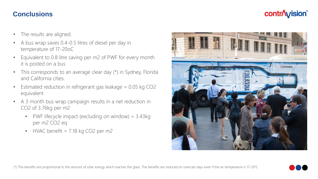#### **Conclusions**

## **contr/vision®**

- The results are aligned.
- A bus wrap saves 0.4-0.5 litres of diesel per day in temperature of 17-20oC
- Equivalent to 0.8 litre saving per m2 of PWF for every month it is posted on a bus
- This corresponds to an average clear day (\*) in Sydney, Florida and California cities.
- Estimated reduction in refrigerant gas leakage = 0.05 kg CO2 equivalent
- A 3 month bus wrap campaign results in a net reduction in CO2 of 3.76kg per m2
	- PWF lifecycle impact (excluding on window) = 3.43kg per m2 CO2 eq
	- HVAC benefit  $= 7.18$  kg CO2 per m2



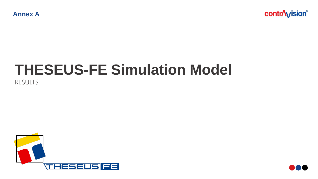**contr/vision®** 

## **THESEUS-FE Simulation Model**  RESULTS